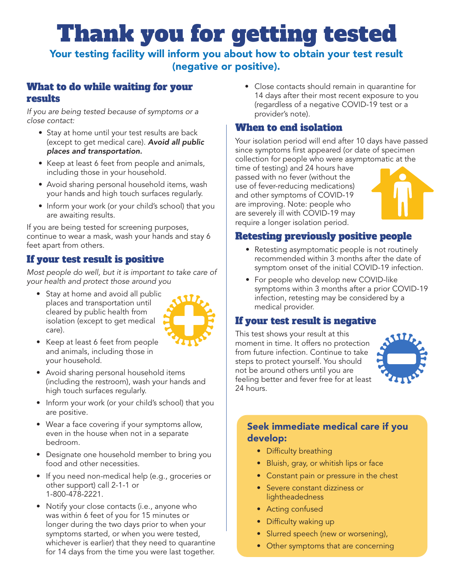# Thank you for getting tested

Your testing facility will inform you about how to obtain your test result (negative or positive).

### What to do while waiting for your results

*If you are being tested because of symptoms or a close contact:*

- Stay at home until your test results are back (except to get medical care). *Avoid all public places and transportation.*
- Keep at least 6 feet from people and animals, including those in your household.
- Avoid sharing personal household items, wash your hands and high touch surfaces regularly.
- Inform your work (or your child's school) that you are awaiting results.

If you are being tested for screening purposes, continue to wear a mask, wash your hands and stay 6 feet apart from others.

## If your test result is positive

*Most people do well, but it is important to take care of your health and protect those around you*

• Stay at home and avoid all public places and transportation until cleared by public health from isolation (except to get medical care).



- Keep at least 6 feet from people and animals, including those in your household.
- Avoid sharing personal household items (including the restroom), wash your hands and high touch surfaces regularly.
- Inform your work (or your child's school) that you are positive.
- Wear a face covering if your symptoms allow, even in the house when not in a separate bedroom.
- Designate one household member to bring you food and other necessities.
- If you need non-medical help (e.g., groceries or other support) call 2-1-1 or 1-800-478-2221.
- Notify your close contacts (i.e., anyone who was within 6 feet of you for 15 minutes or longer during the two days prior to when your symptoms started, or when you were tested, whichever is earlier) that they need to quarantine for 14 days from the time you were last together.

• Close contacts should remain in quarantine for 14 days after their most recent exposure to you (regardless of a negative COVID-19 test or a provider's note).

## When to end isolation

Your isolation period will end after 10 days have passed since symptoms first appeared (or date of specimen collection for people who were asymptomatic at the

time of testing) and 24 hours have passed with no fever (without the use of fever-reducing medications) and other symptoms of COVID-19 are improving. Note: people who are severely ill with COVID-19 may require a longer isolation period.



## Retesting previously positive people

- Retesting asymptomatic people is not routinely recommended within 3 months after the date of symptom onset of the initial COVID-19 infection.
- For people who develop new COVID-like symptoms within 3 months after a prior COVID-19 infection, retesting may be considered by a medical provider.

### If your test result is negative

This test shows your result at this moment in time. It offers no protection from future infection. Continue to take steps to protect yourself. You should not be around others until you are feeling better and fever free for at least 24 hours.



### Seek immediate medical care if you develop:

- Difficulty breathing
- Bluish, gray, or whitish lips or face
- Constant pain or pressure in the chest
- Severe constant dizziness or lightheadedness
- Acting confused
- Difficulty waking up
- Slurred speech (new or worsening),
- Other symptoms that are concerning